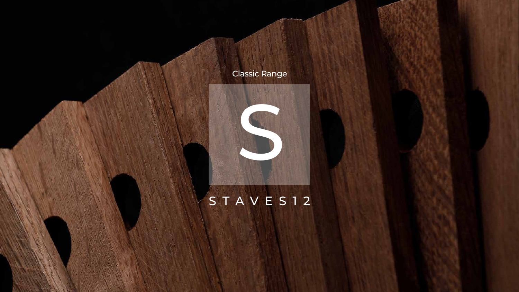

## STAVES12



## Classic Range